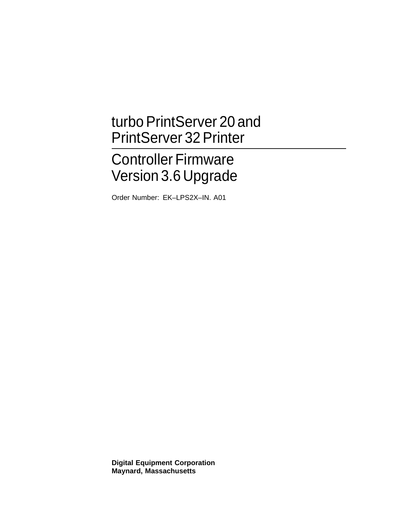# turbo PrintServer 20 and PrintServer 32 Printer

# Controller Firmware Version 3.6 Upgrade

Order Number: EK–LPS2X–IN. A01

**Digital Equipment Corporation Maynard, Massachusetts**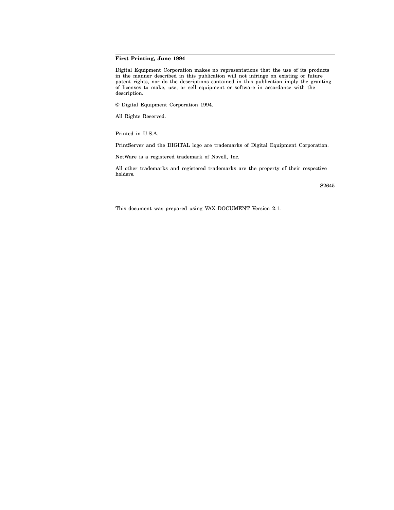### **First Printing, June 1994**

Digital Equipment Corporation makes no representations that the use of its products in the manner described in this publication will not infringe on existing or future patent rights, nor do the descriptions contained in this publication imply the granting of licenses to make, use, or sell equipment or software in accordance with the description.

© Digital Equipment Corporation 1994.

All Rights Reserved.

Printed in U.S.A.

PrintServer and the DIGITAL logo are trademarks of Digital Equipment Corporation.

NetWare is a registered trademark of Novell, Inc.

All other trademarks and registered trademarks are the property of their respective holders.

S2645

This document was prepared using VAX DOCUMENT Version 2.1.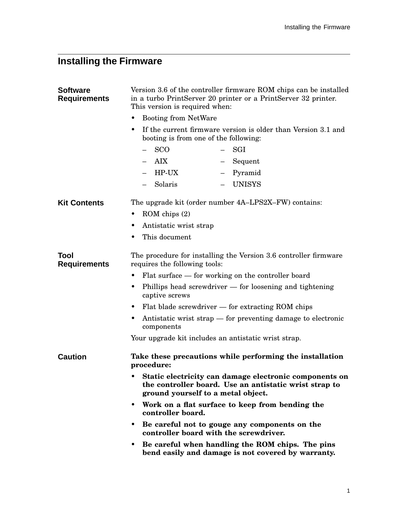## **Installing the Firmware**

| <b>Software</b><br><b>Requirements</b> | Version 3.6 of the controller firmware ROM chips can be installed<br>in a turbo PrintServer 20 printer or a PrintServer 32 printer.<br>This version is required when:<br><b>Booting from NetWare</b><br>If the current firmware version is older than Version 3.1 and<br>٠<br>booting is from one of the following: |                                     |
|----------------------------------------|---------------------------------------------------------------------------------------------------------------------------------------------------------------------------------------------------------------------------------------------------------------------------------------------------------------------|-------------------------------------|
|                                        |                                                                                                                                                                                                                                                                                                                     |                                     |
|                                        |                                                                                                                                                                                                                                                                                                                     |                                     |
|                                        | <b>AIX</b><br>$ -$                                                                                                                                                                                                                                                                                                  | Sequent<br>$\overline{\phantom{0}}$ |
|                                        | HP-UX<br>$\equiv$                                                                                                                                                                                                                                                                                                   | Pyramid<br>$\overline{\phantom{0}}$ |
|                                        | Solaris<br>$\overline{\phantom{0}}$                                                                                                                                                                                                                                                                                 | - UNISYS                            |
| <b>Kit Contents</b>                    | The upgrade kit (order number 4A–LPS2X–FW) contains:                                                                                                                                                                                                                                                                |                                     |
|                                        | $ROM$ chips $(2)$                                                                                                                                                                                                                                                                                                   |                                     |
|                                        | Antistatic wrist strap                                                                                                                                                                                                                                                                                              |                                     |
|                                        | This document                                                                                                                                                                                                                                                                                                       |                                     |
| Tool<br><b>Requirements</b>            | The procedure for installing the Version 3.6 controller firmware<br>requires the following tools:                                                                                                                                                                                                                   |                                     |
|                                        | Flat surface — for working on the controller board                                                                                                                                                                                                                                                                  |                                     |
|                                        | Phillips head screwdriver $-$ for loosening and tightening<br>٠<br>captive screws                                                                                                                                                                                                                                   |                                     |
|                                        | Flat blade screwdriver $-$ for extracting ROM chips<br>٠                                                                                                                                                                                                                                                            |                                     |
|                                        | Antistatic wrist strap — for preventing damage to electronic<br>٠<br>components                                                                                                                                                                                                                                     |                                     |
|                                        | Your upgrade kit includes an antistatic wrist strap.                                                                                                                                                                                                                                                                |                                     |
| <b>Caution</b>                         | Take these precautions while performing the installation<br>procedure:                                                                                                                                                                                                                                              |                                     |
|                                        | Static electricity can damage electronic components on<br>the controller board. Use an antistatic wrist strap to<br>ground yourself to a metal object.                                                                                                                                                              |                                     |
|                                        | Work on a flat surface to keep from bending the<br>٠<br>controller board.                                                                                                                                                                                                                                           |                                     |
|                                        | Be careful not to gouge any components on the<br>$\bullet$<br>controller board with the screwdriver.                                                                                                                                                                                                                |                                     |
|                                        | Be careful when handling the ROM chips. The pins<br>٠<br>bend easily and damage is not covered by warranty.                                                                                                                                                                                                         |                                     |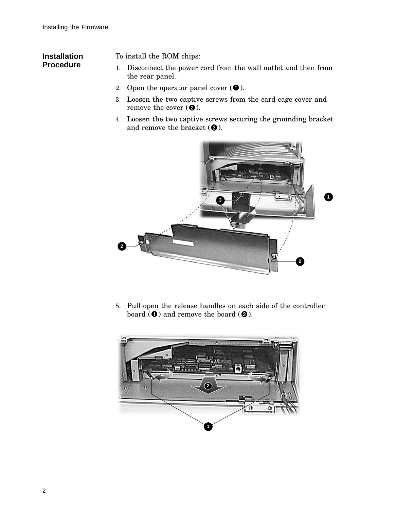## **Installation Procedure**

To install the ROM chips:

- 1. Disconnect the power cord from the wall outlet and then from the rear panel.
- 2. Open the operator panel cover  $(\bullet)$ .
- 3. Loosen the two captive screws from the card cage cover and remove the cover  $(②)$ .
- 4. Loosen the two captive screws securing the grounding bracket and remove the bracket  $(\bigcirc$  ). ).



5. Pull open the release handles on each side of the controller board (  $\bullet$  ) and remove the board (  $\bullet$  ).